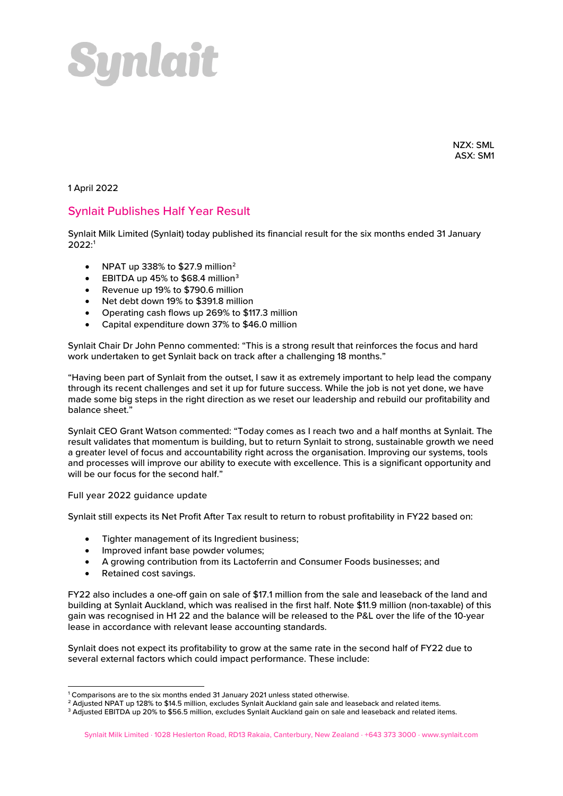

NZX: SML ASX: SM1

1 April 2022

## Synlait Publishes Half Year Result

Synlait Milk Limited (Synlait) today published its financial result for the six months ended 31 January 2022: [1](#page-0-0)

- NPAT up 338% to  $$27.9$  $$27.9$  $$27.9$  million<sup>2</sup>
- EBITDA up 45% to  $$68.4$  million<sup>[3](#page-0-2)</sup>
- Revenue up 19% to \$790.6 million
- Net debt down 19% to \$391.8 million
- Operating cash flows up 269% to \$117.3 million
- Capital expenditure down 37% to \$46.0 million

Synlait Chair Dr John Penno commented: "This is a strong result that reinforces the focus and hard work undertaken to get Synlait back on track after a challenging 18 months."

"Having been part of Synlait from the outset, I saw it as extremely important to help lead the company through its recent challenges and set it up for future success. While the job is not yet done, we have made some big steps in the right direction as we reset our leadership and rebuild our profitability and balance sheet."

Synlait CEO Grant Watson commented: "Today comes as I reach two and a half months at Synlait. The result validates that momentum is building, but to return Synlait to strong, sustainable growth we need a greater level of focus and accountability right across the organisation. Improving our systems, tools and processes will improve our ability to execute with excellence. This is a significant opportunity and will be our focus for the second half."

Full year 2022 guidance update

Synlait still expects its Net Profit After Tax result to return to robust profitability in FY22 based on:

- Tighter management of its Ingredient business;
- Improved infant base powder volumes;
- A growing contribution from its Lactoferrin and Consumer Foods businesses; and
- Retained cost savings.

FY22 also includes a one-off gain on sale of \$17.1 million from the sale and leaseback of the land and building at Synlait Auckland, which was realised in the first half. Note \$11.9 million (non-taxable) of this gain was recognised in H1 22 and the balance will be released to the P&L over the life of the 10-year lease in accordance with relevant lease accounting standards.

Synlait does not expect its profitability to grow at the same rate in the second half of FY22 due to several external factors which could impact performance. These include:

<sup>&</sup>lt;sup>1</sup> Comparisons are to the six months ended 31 January 2021 unless stated otherwise.

<span id="page-0-1"></span><span id="page-0-0"></span><sup>&</sup>lt;sup>2</sup> Adjusted NPAT up 128% to \$14.5 million, excludes Synlait Auckland gain sale and leaseback and related items.

<span id="page-0-2"></span><sup>&</sup>lt;sup>3</sup> Adjusted EBITDA up 20% to \$56.5 million, excludes Synlait Auckland gain on sale and leaseback and related items.